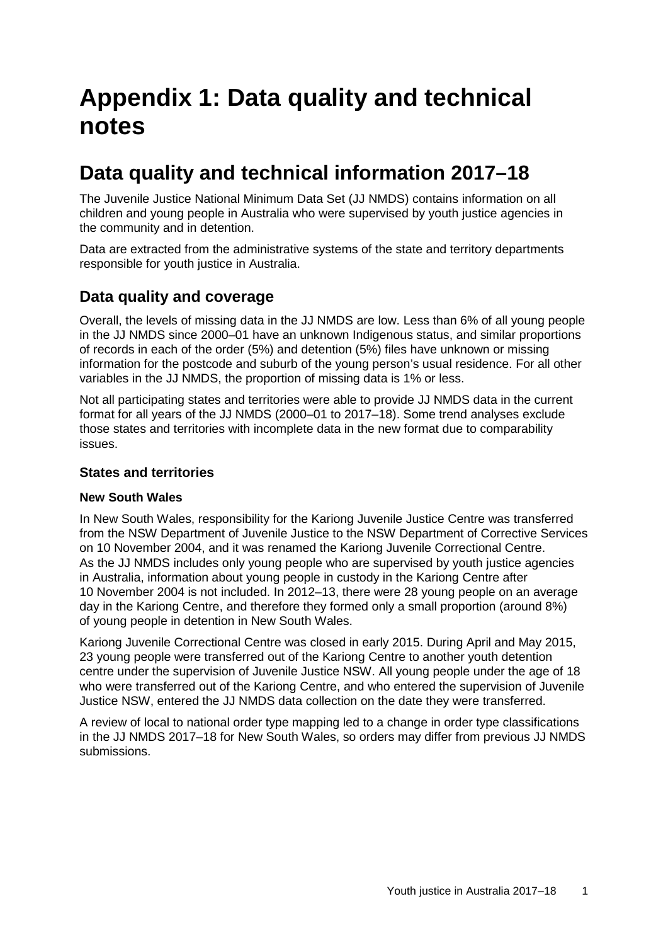# **Appendix 1: Data quality and technical notes**

# **Data quality and technical information 2017–18**

The Juvenile Justice National Minimum Data Set (JJ NMDS) contains information on all children and young people in Australia who were supervised by youth justice agencies in the community and in detention.

Data are extracted from the administrative systems of the state and territory departments responsible for youth justice in Australia.

### **Data quality and coverage**

Overall, the levels of missing data in the JJ NMDS are low. Less than 6% of all young people in the JJ NMDS since 2000–01 have an unknown Indigenous status, and similar proportions of records in each of the order (5%) and detention (5%) files have unknown or missing information for the postcode and suburb of the young person's usual residence. For all other variables in the JJ NMDS, the proportion of missing data is 1% or less.

Not all participating states and territories were able to provide JJ NMDS data in the current format for all years of the JJ NMDS (2000–01 to 2017–18). Some trend analyses exclude those states and territories with incomplete data in the new format due to comparability issues.

#### **States and territories**

#### **New South Wales**

In New South Wales, responsibility for the Kariong Juvenile Justice Centre was transferred from the NSW Department of Juvenile Justice to the NSW Department of Corrective Services on 10 November 2004, and it was renamed the Kariong Juvenile Correctional Centre. As the JJ NMDS includes only young people who are supervised by youth justice agencies in Australia, information about young people in custody in the Kariong Centre after 10 November 2004 is not included. In 2012–13, there were 28 young people on an average day in the Kariong Centre, and therefore they formed only a small proportion (around 8%) of young people in detention in New South Wales.

Kariong Juvenile Correctional Centre was closed in early 2015. During April and May 2015, 23 young people were transferred out of the Kariong Centre to another youth detention centre under the supervision of Juvenile Justice NSW. All young people under the age of 18 who were transferred out of the Kariong Centre, and who entered the supervision of Juvenile Justice NSW, entered the JJ NMDS data collection on the date they were transferred.

A review of local to national order type mapping led to a change in order type classifications in the JJ NMDS 2017–18 for New South Wales, so orders may differ from previous JJ NMDS submissions.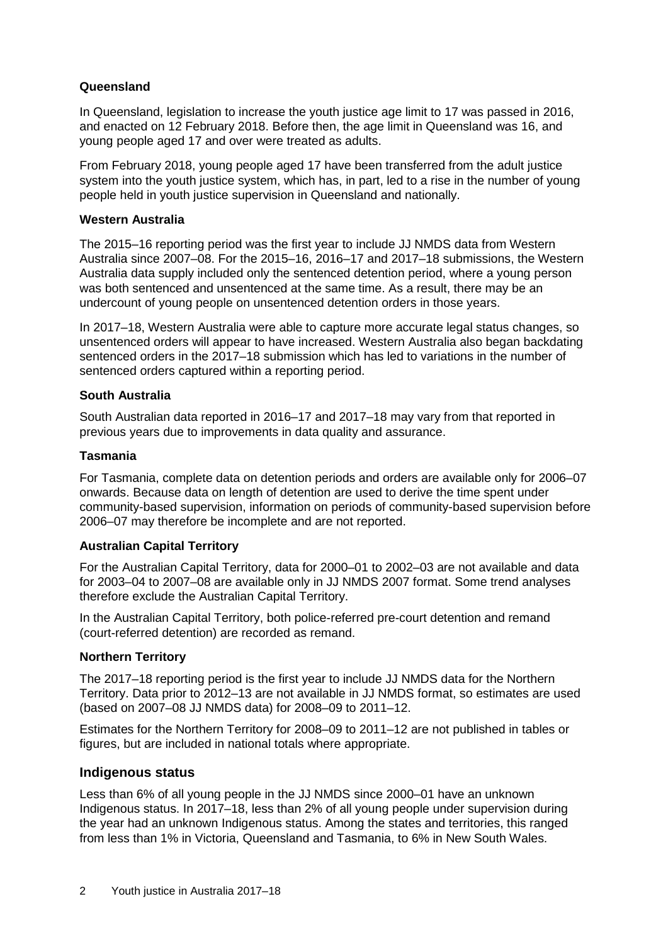#### **Queensland**

In Queensland, legislation to increase the youth justice age limit to 17 was passed in 2016, and enacted on 12 February 2018. Before then, the age limit in Queensland was 16, and young people aged 17 and over were treated as adults.

From February 2018, young people aged 17 have been transferred from the adult justice system into the youth justice system, which has, in part, led to a rise in the number of young people held in youth justice supervision in Queensland and nationally.

#### **Western Australia**

The 2015–16 reporting period was the first year to include JJ NMDS data from Western Australia since 2007–08. For the 2015–16, 2016–17 and 2017–18 submissions, the Western Australia data supply included only the sentenced detention period, where a young person was both sentenced and unsentenced at the same time. As a result, there may be an undercount of young people on unsentenced detention orders in those years.

In 2017–18, Western Australia were able to capture more accurate legal status changes, so unsentenced orders will appear to have increased. Western Australia also began backdating sentenced orders in the 2017–18 submission which has led to variations in the number of sentenced orders captured within a reporting period.

#### **South Australia**

South Australian data reported in 2016–17 and 2017–18 may vary from that reported in previous years due to improvements in data quality and assurance.

#### **Tasmania**

For Tasmania, complete data on detention periods and orders are available only for 2006–07 onwards. Because data on length of detention are used to derive the time spent under community-based supervision, information on periods of community-based supervision before 2006–07 may therefore be incomplete and are not reported.

#### **Australian Capital Territory**

For the Australian Capital Territory, data for 2000–01 to 2002–03 are not available and data for 2003–04 to 2007–08 are available only in JJ NMDS 2007 format. Some trend analyses therefore exclude the Australian Capital Territory.

In the Australian Capital Territory, both police-referred pre-court detention and remand (court-referred detention) are recorded as remand.

#### **Northern Territory**

The 2017–18 reporting period is the first year to include JJ NMDS data for the Northern Territory. Data prior to 2012–13 are not available in JJ NMDS format, so estimates are used (based on 2007–08 JJ NMDS data) for 2008–09 to 2011–12.

Estimates for the Northern Territory for 2008–09 to 2011–12 are not published in tables or figures, but are included in national totals where appropriate.

#### **Indigenous status**

Less than 6% of all young people in the JJ NMDS since 2000–01 have an unknown Indigenous status. In 2017–18, less than 2% of all young people under supervision during the year had an unknown Indigenous status. Among the states and territories, this ranged from less than 1% in Victoria, Queensland and Tasmania, to 6% in New South Wales.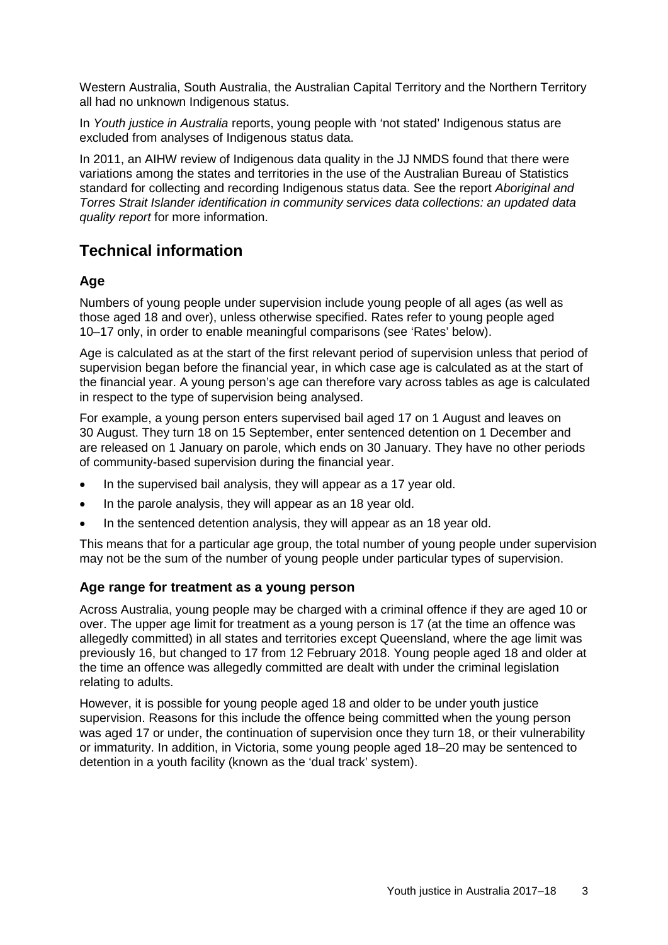Western Australia, South Australia, the Australian Capital Territory and the Northern Territory all had no unknown Indigenous status.

In *Youth justice in Australia* reports, young people with 'not stated' Indigenous status are excluded from analyses of Indigenous status data.

In 2011, an AIHW review of Indigenous data quality in the JJ NMDS found that there were variations among the states and territories in the use of the Australian Bureau of Statistics standard for collecting and recording Indigenous status data. See the report *Aboriginal and Torres Strait Islander identification in community services data collections: an updated data quality report* for more information.

## **Technical information**

#### **Age**

Numbers of young people under supervision include young people of all ages (as well as those aged 18 and over), unless otherwise specified. Rates refer to young people aged 10–17 only, in order to enable meaningful comparisons (see 'Rates' below).

Age is calculated as at the start of the first relevant period of supervision unless that period of supervision began before the financial year, in which case age is calculated as at the start of the financial year. A young person's age can therefore vary across tables as age is calculated in respect to the type of supervision being analysed.

For example, a young person enters supervised bail aged 17 on 1 August and leaves on 30 August. They turn 18 on 15 September, enter sentenced detention on 1 December and are released on 1 January on parole, which ends on 30 January. They have no other periods of community-based supervision during the financial year.

- In the supervised bail analysis, they will appear as a 17 year old.
- In the parole analysis, they will appear as an 18 year old.
- In the sentenced detention analysis, they will appear as an 18 year old.

This means that for a particular age group, the total number of young people under supervision may not be the sum of the number of young people under particular types of supervision.

#### **Age range for treatment as a young person**

Across Australia, young people may be charged with a criminal offence if they are aged 10 or over. The upper age limit for treatment as a young person is 17 (at the time an offence was allegedly committed) in all states and territories except Queensland, where the age limit was previously 16, but changed to 17 from 12 February 2018. Young people aged 18 and older at the time an offence was allegedly committed are dealt with under the criminal legislation relating to adults.

However, it is possible for young people aged 18 and older to be under youth justice supervision. Reasons for this include the offence being committed when the young person was aged 17 or under, the continuation of supervision once they turn 18, or their vulnerability or immaturity. In addition, in Victoria, some young people aged 18–20 may be sentenced to detention in a youth facility (known as the 'dual track' system).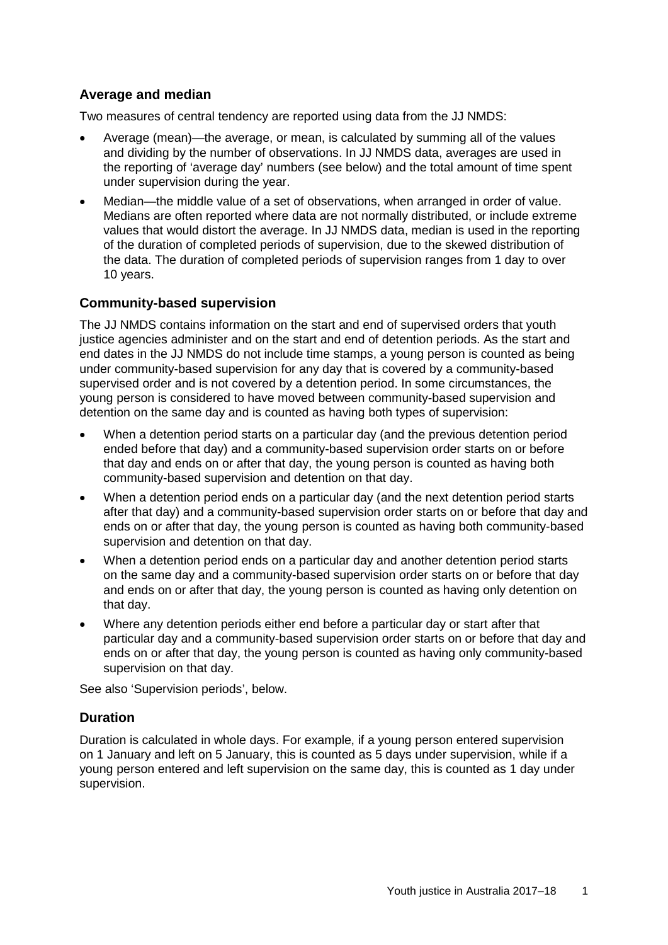#### **Average and median**

Two measures of central tendency are reported using data from the JJ NMDS:

- Average (mean)—the average, or mean, is calculated by summing all of the values and dividing by the number of observations. In JJ NMDS data, averages are used in the reporting of 'average day' numbers (see below) and the total amount of time spent under supervision during the year.
- Median—the middle value of a set of observations, when arranged in order of value. Medians are often reported where data are not normally distributed, or include extreme values that would distort the average. In JJ NMDS data, median is used in the reporting of the duration of completed periods of supervision, due to the skewed distribution of the data. The duration of completed periods of supervision ranges from 1 day to over 10 years.

#### **Community-based supervision**

The JJ NMDS contains information on the start and end of supervised orders that youth justice agencies administer and on the start and end of detention periods. As the start and end dates in the JJ NMDS do not include time stamps, a young person is counted as being under community-based supervision for any day that is covered by a community-based supervised order and is not covered by a detention period. In some circumstances, the young person is considered to have moved between community-based supervision and detention on the same day and is counted as having both types of supervision:

- When a detention period starts on a particular day (and the previous detention period ended before that day) and a community-based supervision order starts on or before that day and ends on or after that day, the young person is counted as having both community-based supervision and detention on that day.
- When a detention period ends on a particular day (and the next detention period starts after that day) and a community-based supervision order starts on or before that day and ends on or after that day, the young person is counted as having both community-based supervision and detention on that day.
- When a detention period ends on a particular day and another detention period starts on the same day and a community-based supervision order starts on or before that day and ends on or after that day, the young person is counted as having only detention on that day.
- Where any detention periods either end before a particular day or start after that particular day and a community-based supervision order starts on or before that day and ends on or after that day, the young person is counted as having only community-based supervision on that day.

See also 'Supervision periods', below.

#### **Duration**

Duration is calculated in whole days. For example, if a young person entered supervision on 1 January and left on 5 January, this is counted as 5 days under supervision, while if a young person entered and left supervision on the same day, this is counted as 1 day under supervision.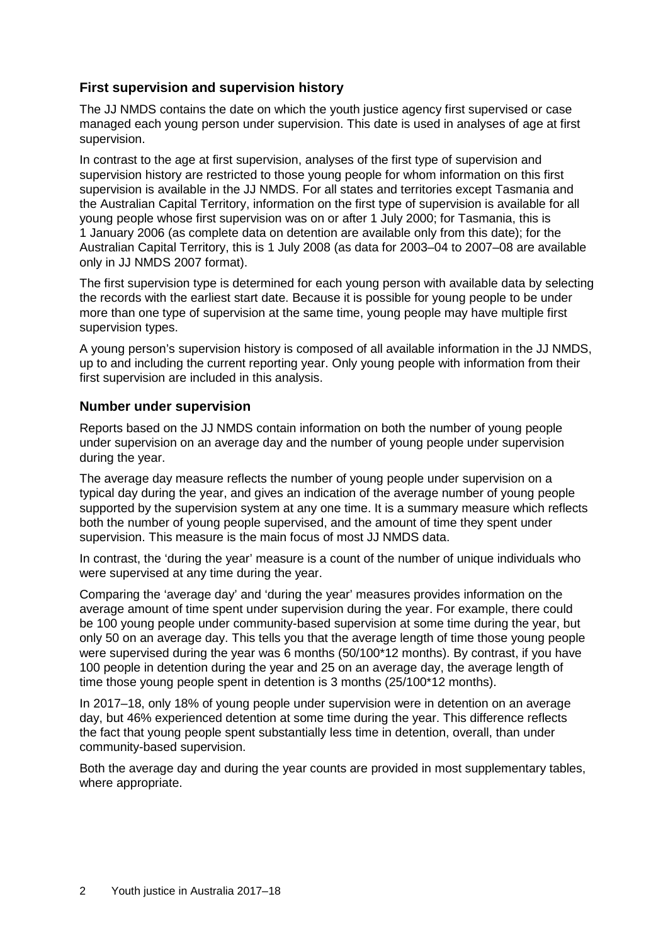#### **First supervision and supervision history**

The JJ NMDS contains the date on which the youth justice agency first supervised or case managed each young person under supervision. This date is used in analyses of age at first supervision.

In contrast to the age at first supervision, analyses of the first type of supervision and supervision history are restricted to those young people for whom information on this first supervision is available in the JJ NMDS. For all states and territories except Tasmania and the Australian Capital Territory, information on the first type of supervision is available for all young people whose first supervision was on or after 1 July 2000; for Tasmania, this is 1 January 2006 (as complete data on detention are available only from this date); for the Australian Capital Territory, this is 1 July 2008 (as data for 2003–04 to 2007–08 are available only in JJ NMDS 2007 format).

The first supervision type is determined for each young person with available data by selecting the records with the earliest start date. Because it is possible for young people to be under more than one type of supervision at the same time, young people may have multiple first supervision types.

A young person's supervision history is composed of all available information in the JJ NMDS, up to and including the current reporting year. Only young people with information from their first supervision are included in this analysis.

#### **Number under supervision**

Reports based on the JJ NMDS contain information on both the number of young people under supervision on an average day and the number of young people under supervision during the year.

The average day measure reflects the number of young people under supervision on a typical day during the year, and gives an indication of the average number of young people supported by the supervision system at any one time. It is a summary measure which reflects both the number of young people supervised, and the amount of time they spent under supervision. This measure is the main focus of most JJ NMDS data.

In contrast, the 'during the year' measure is a count of the number of unique individuals who were supervised at any time during the year.

Comparing the 'average day' and 'during the year' measures provides information on the average amount of time spent under supervision during the year. For example, there could be 100 young people under community-based supervision at some time during the year, but only 50 on an average day. This tells you that the average length of time those young people were supervised during the year was 6 months (50/100\*12 months). By contrast, if you have 100 people in detention during the year and 25 on an average day, the average length of time those young people spent in detention is 3 months (25/100\*12 months).

In 2017–18, only 18% of young people under supervision were in detention on an average day, but 46% experienced detention at some time during the year. This difference reflects the fact that young people spent substantially less time in detention, overall, than under community-based supervision.

Both the average day and during the year counts are provided in most supplementary tables, where appropriate.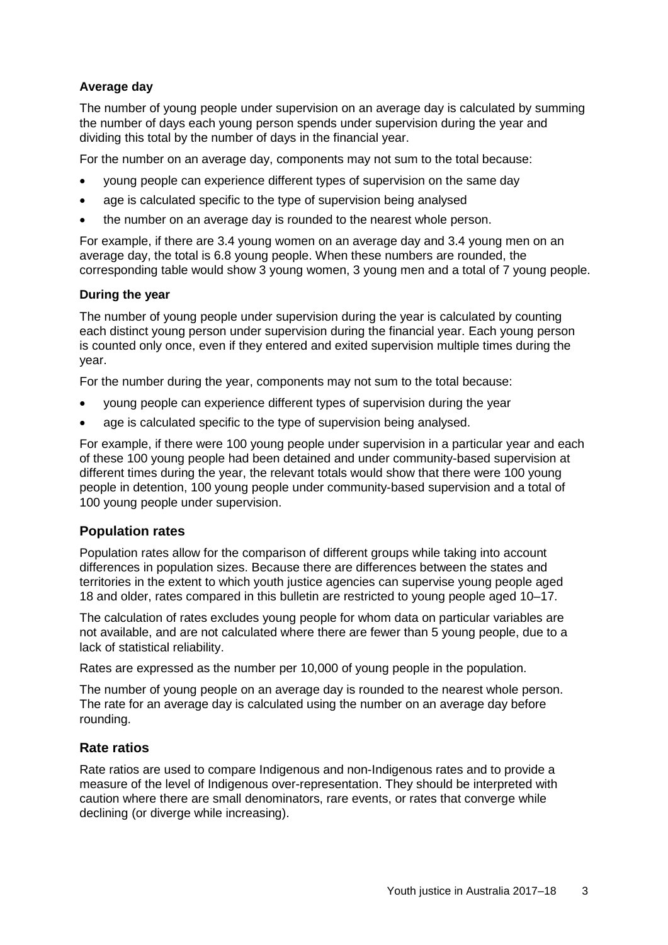#### **Average day**

The number of young people under supervision on an average day is calculated by summing the number of days each young person spends under supervision during the year and dividing this total by the number of days in the financial year.

For the number on an average day, components may not sum to the total because:

- young people can experience different types of supervision on the same day
- age is calculated specific to the type of supervision being analysed
- the number on an average day is rounded to the nearest whole person.

For example, if there are 3.4 young women on an average day and 3.4 young men on an average day, the total is 6.8 young people. When these numbers are rounded, the corresponding table would show 3 young women, 3 young men and a total of 7 young people.

#### **During the year**

The number of young people under supervision during the year is calculated by counting each distinct young person under supervision during the financial year. Each young person is counted only once, even if they entered and exited supervision multiple times during the year.

For the number during the year, components may not sum to the total because:

- young people can experience different types of supervision during the year
- age is calculated specific to the type of supervision being analysed.

For example, if there were 100 young people under supervision in a particular year and each of these 100 young people had been detained and under community-based supervision at different times during the year, the relevant totals would show that there were 100 young people in detention, 100 young people under community-based supervision and a total of 100 young people under supervision.

#### **Population rates**

Population rates allow for the comparison of different groups while taking into account differences in population sizes. Because there are differences between the states and territories in the extent to which youth justice agencies can supervise young people aged 18 and older, rates compared in this bulletin are restricted to young people aged 10–17.

The calculation of rates excludes young people for whom data on particular variables are not available, and are not calculated where there are fewer than 5 young people, due to a lack of statistical reliability.

Rates are expressed as the number per 10,000 of young people in the population.

The number of young people on an average day is rounded to the nearest whole person. The rate for an average day is calculated using the number on an average day before rounding.

#### **Rate ratios**

Rate ratios are used to compare Indigenous and non-Indigenous rates and to provide a measure of the level of Indigenous over-representation. They should be interpreted with caution where there are small denominators, rare events, or rates that converge while declining (or diverge while increasing).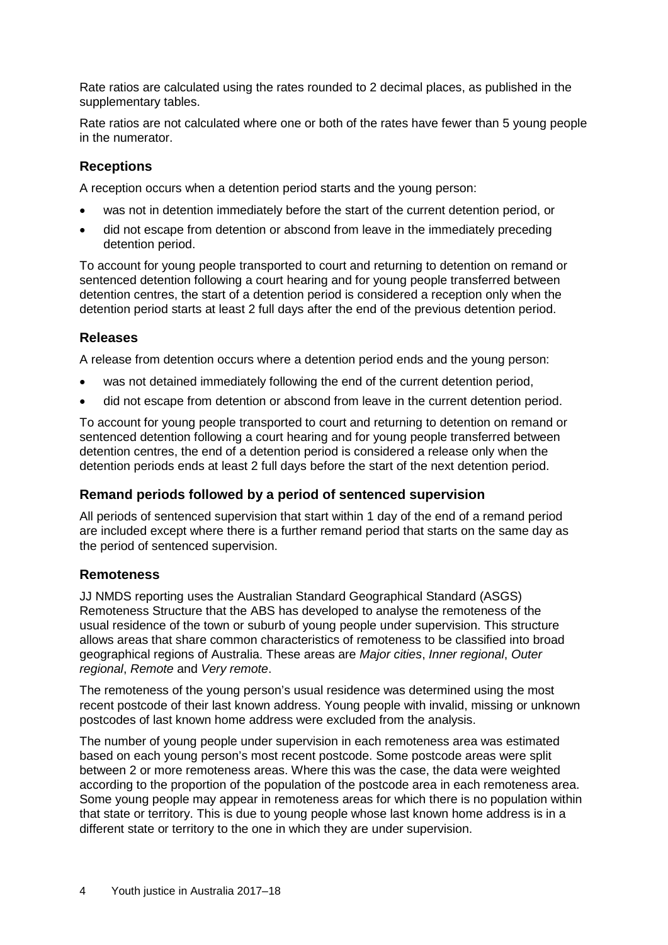Rate ratios are calculated using the rates rounded to 2 decimal places, as published in the supplementary tables.

Rate ratios are not calculated where one or both of the rates have fewer than 5 young people in the numerator.

#### **Receptions**

A reception occurs when a detention period starts and the young person:

- was not in detention immediately before the start of the current detention period, or
- did not escape from detention or abscond from leave in the immediately preceding detention period.

To account for young people transported to court and returning to detention on remand or sentenced detention following a court hearing and for young people transferred between detention centres, the start of a detention period is considered a reception only when the detention period starts at least 2 full days after the end of the previous detention period.

#### **Releases**

A release from detention occurs where a detention period ends and the young person:

- was not detained immediately following the end of the current detention period,
- did not escape from detention or abscond from leave in the current detention period.

To account for young people transported to court and returning to detention on remand or sentenced detention following a court hearing and for young people transferred between detention centres, the end of a detention period is considered a release only when the detention periods ends at least 2 full days before the start of the next detention period.

#### **Remand periods followed by a period of sentenced supervision**

All periods of sentenced supervision that start within 1 day of the end of a remand period are included except where there is a further remand period that starts on the same day as the period of sentenced supervision.

#### **Remoteness**

JJ NMDS reporting uses the Australian Standard Geographical Standard (ASGS) Remoteness Structure that the ABS has developed to analyse the remoteness of the usual residence of the town or suburb of young people under supervision. This structure allows areas that share common characteristics of remoteness to be classified into broad geographical regions of Australia. These areas are *Major cities*, *Inner regional*, *Outer regional*, *Remote* and *Very remote*.

The remoteness of the young person's usual residence was determined using the most recent postcode of their last known address. Young people with invalid, missing or unknown postcodes of last known home address were excluded from the analysis.

The number of young people under supervision in each remoteness area was estimated based on each young person's most recent postcode. Some postcode areas were split between 2 or more remoteness areas. Where this was the case, the data were weighted according to the proportion of the population of the postcode area in each remoteness area. Some young people may appear in remoteness areas for which there is no population within that state or territory. This is due to young people whose last known home address is in a different state or territory to the one in which they are under supervision.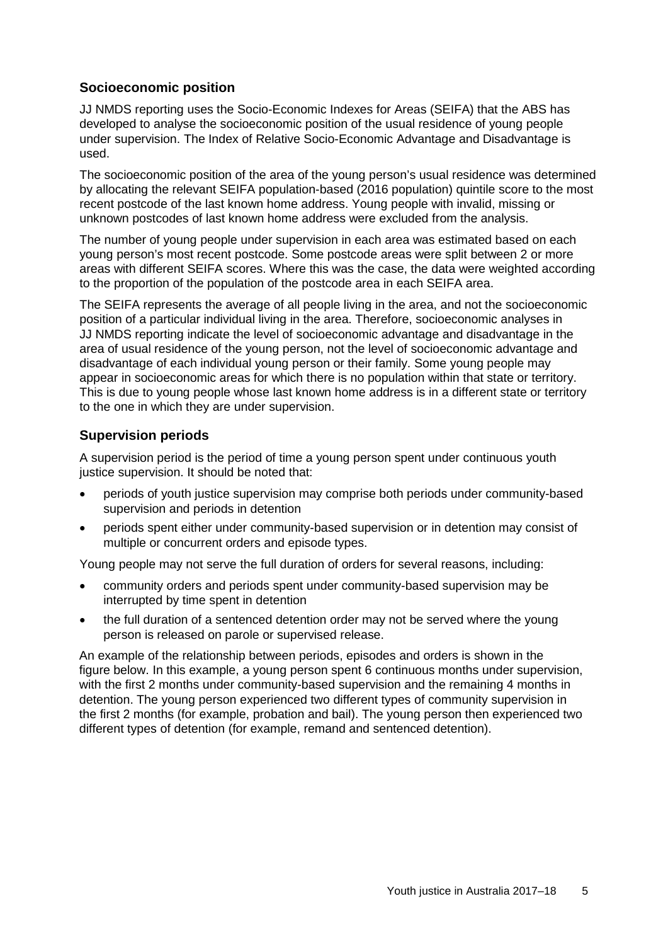#### **Socioeconomic position**

JJ NMDS reporting uses the Socio-Economic Indexes for Areas (SEIFA) that the ABS has developed to analyse the socioeconomic position of the usual residence of young people under supervision. The Index of Relative Socio-Economic Advantage and Disadvantage is used.

The socioeconomic position of the area of the young person's usual residence was determined by allocating the relevant SEIFA population-based (2016 population) quintile score to the most recent postcode of the last known home address. Young people with invalid, missing or unknown postcodes of last known home address were excluded from the analysis.

The number of young people under supervision in each area was estimated based on each young person's most recent postcode. Some postcode areas were split between 2 or more areas with different SEIFA scores. Where this was the case, the data were weighted according to the proportion of the population of the postcode area in each SEIFA area.

The SEIFA represents the average of all people living in the area, and not the socioeconomic position of a particular individual living in the area. Therefore, socioeconomic analyses in JJ NMDS reporting indicate the level of socioeconomic advantage and disadvantage in the area of usual residence of the young person, not the level of socioeconomic advantage and disadvantage of each individual young person or their family. Some young people may appear in socioeconomic areas for which there is no population within that state or territory. This is due to young people whose last known home address is in a different state or territory to the one in which they are under supervision.

#### **Supervision periods**

A supervision period is the period of time a young person spent under continuous youth justice supervision. It should be noted that:

- periods of youth justice supervision may comprise both periods under community-based supervision and periods in detention
- periods spent either under community-based supervision or in detention may consist of multiple or concurrent orders and episode types.

Young people may not serve the full duration of orders for several reasons, including:

- community orders and periods spent under community-based supervision may be interrupted by time spent in detention
- the full duration of a sentenced detention order may not be served where the young person is released on parole or supervised release.

An example of the relationship between periods, episodes and orders is shown in the figure below. In this example, a young person spent 6 continuous months under supervision, with the first 2 months under community-based supervision and the remaining 4 months in detention. The young person experienced two different types of community supervision in the first 2 months (for example, probation and bail). The young person then experienced two different types of detention (for example, remand and sentenced detention).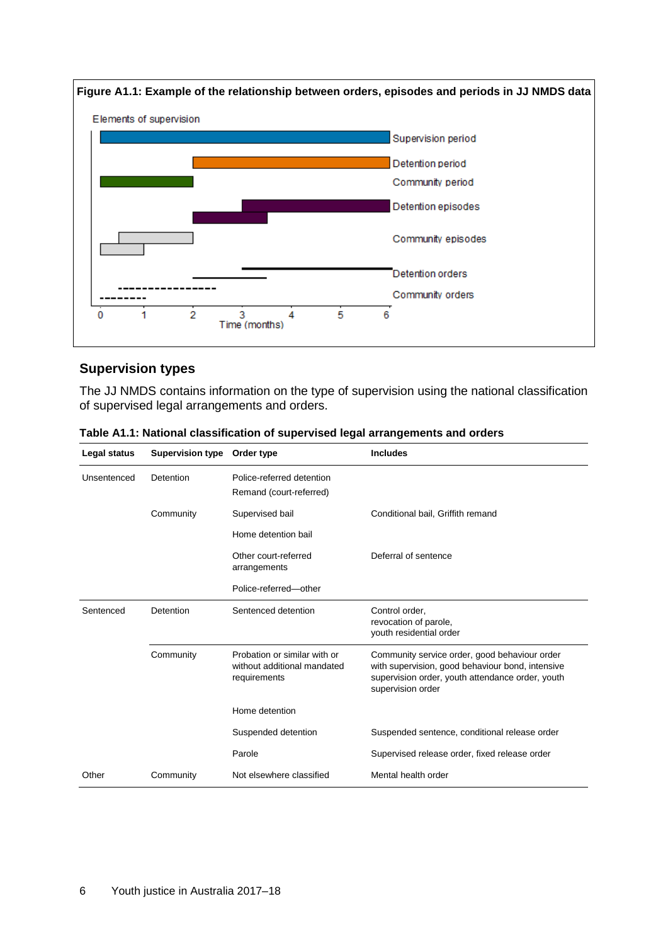

#### **Supervision types**

The JJ NMDS contains information on the type of supervision using the national classification of supervised legal arrangements and orders.

| Legal status | <b>Supervision type</b> | Order type                                                                  | <b>Includes</b>                                                                                                                                                            |
|--------------|-------------------------|-----------------------------------------------------------------------------|----------------------------------------------------------------------------------------------------------------------------------------------------------------------------|
| Unsentenced  | Detention               | Police-referred detention<br>Remand (court-referred)                        |                                                                                                                                                                            |
|              | Community               | Supervised bail                                                             | Conditional bail, Griffith remand                                                                                                                                          |
|              |                         | Home detention bail                                                         |                                                                                                                                                                            |
|              |                         | Other court-referred<br>arrangements                                        | Deferral of sentence                                                                                                                                                       |
|              |                         | Police-referred-other                                                       |                                                                                                                                                                            |
| Sentenced    | Detention               | Sentenced detention                                                         | Control order,<br>revocation of parole,<br>youth residential order                                                                                                         |
|              | Community               | Probation or similar with or<br>without additional mandated<br>requirements | Community service order, good behaviour order<br>with supervision, good behaviour bond, intensive<br>supervision order, youth attendance order, youth<br>supervision order |
|              |                         | Home detention                                                              |                                                                                                                                                                            |
|              |                         | Suspended detention                                                         | Suspended sentence, conditional release order                                                                                                                              |
|              |                         | Parole                                                                      | Supervised release order, fixed release order                                                                                                                              |
| Other        | Community               | Not elsewhere classified                                                    | Mental health order                                                                                                                                                        |